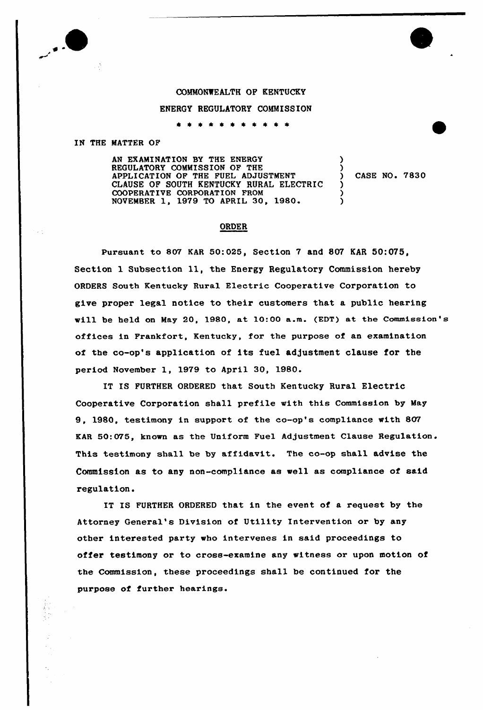

## COMMONWEALTH QP KENTUCKY

## ENERGY REGULATORY COMMISSION

\* \* \* \* \* \* \* \* \* \* \*

## IN THE MATTER OF

AN EXAMINATION BY THE ENERGY REGULATORY COMMISSION OF THE APPLICATION OF THE FUEL ADJUSTMENT CLAUSE OF SOUTH KENTUCKY RURAL ELECTRIC COOPERATIVE CORPORATION FROM NOVEMBER 1, 1979 TO APRIL 30, 1980 ) ) ) ز<br>! )

) CASE NO <sup>~</sup> 7830

## ORDER

Pursuant to 807 KAR 50:025, Section 7 and 807 KAR 50:075, Section 1 Subsection ll, the Energy Regulatory Commission hereby ORDERS South Kentucky Rural Electric Cooperative Corporation to give proper legal notice to their customers that a public hearing will be held on May 20, 1980, at 10:00 a.m. (EDT) at the Commission's offices in Frankfort, Kentucky, for the purpose of an examination of the co-op's application of its fuel adjustment clause for the period November 1, 1979 to April 30, 1980.

IT IS FURTHER ORDERED that South Kentucky Rural Electric Cooperative Corporation shall prefile «ith this Commission by May 9, 1980, testimony in support of the co-op's compliance with 807 EAR 50:075, known as the Uniform Fuel Adjustment Clause Regulation. This testimony shall be by affidavit. The co-op shall advise the Commission as to any non-compliance as «ell as compliance of said regulation.

IT IS FURTHER ORDERED that in the event of a request by the Attorney General's Division of Utility Intervention or by any other interested party «ho intervenes in said proceedings to offer testimony or to cross-examine any witness or upon motion of the Commission, these proceedings shall be continued for the purpose of further hearings.